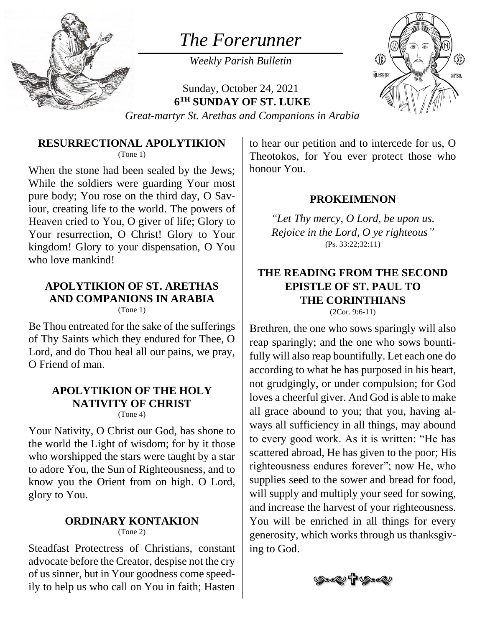

# *The Forerunner*

*Weekly Parish Bulletin*

Sunday, October 24, 2021 **6 TH SUNDAY OF ST. LUKE**



*Great-martyr St. Arethas and Companions in Arabia*

#### **RESURRECTIONAL APOLYTIKION** (Tone 1)

When the stone had been sealed by the Jews; While the soldiers were guarding Your most pure body; You rose on the third day, O Saviour, creating life to the world. The powers of Heaven cried to You, O giver of life; Glory to Your resurrection, O Christ! Glory to Your kingdom! Glory to your dispensation, O You who love mankind!

### **APOLYTIKION OF ST. ARETHAS AND COMPANIONS IN ARABIA**

(Tone 1)

Be Thou entreated for the sake of the sufferings of Thy Saints which they endured for Thee, O Lord, and do Thou heal all our pains, we pray, O Friend of man.

### **APOLYTIKION OF THE HOLY NATIVITY OF CHRIST**

(Tone 4)

Your Nativity, O Christ our God, has shone to the world the Light of wisdom; for by it those who worshipped the stars were taught by a star to adore You, the Sun of Righteousness, and to know you the Orient from on high. O Lord, glory to You.

#### **ORDINARY KONTAKION** (Tone 2)

Steadfast Protectress of Christians, constant advocate before the Creator, despise not the cry of us sinner, but in Your goodness come speedily to help us who call on You in faith; Hasten to hear our petition and to intercede for us, O Theotokos, for You ever protect those who honour You.

### **PROKEIMENON**

*"Let Thy mercy, O Lord, be upon us. Rejoice in the Lord, O ye righteous"* (Ps. 33:22;32:11)

#### **THE READING FROM THE SECOND EPISTLE OF ST. PAUL TO THE CORINTHIANS** (2Cor. 9:6-11)

Brethren, the one who sows sparingly will also reap sparingly; and the one who sows bountifully will also reap bountifully. Let each one do according to what he has purposed in his heart, not grudgingly, or under compulsion; for God loves a cheerful giver. And God is able to make all grace abound to you; that you, having always all sufficiency in all things, may abound to every good work. As it is written: "He has scattered abroad, He has given to the poor; His righteousness endures forever"; now He, who supplies seed to the sower and bread for food, will supply and multiply your seed for sowing, and increase the harvest of your righteousness. You will be enriched in all things for every generosity, which works through us thanksgiving to God.

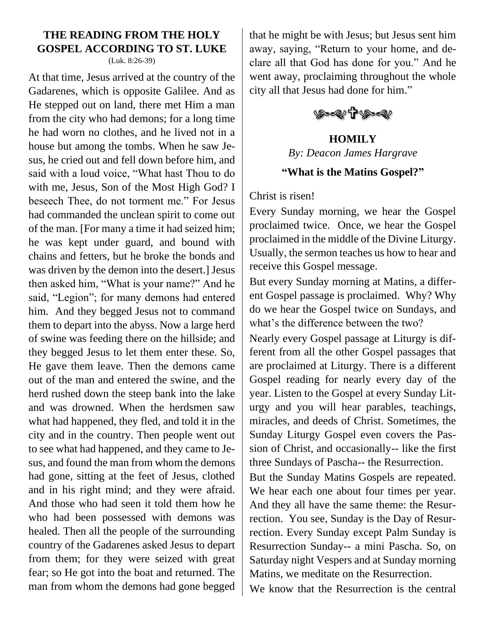### **THE READING FROM THE HOLY GOSPEL ACCORDING TO ST. LUKE**

(Luk. 8:26-39)

At that time, Jesus arrived at the country of the Gadarenes, which is opposite Galilee. And as He stepped out on land, there met Him a man from the city who had demons; for a long time he had worn no clothes, and he lived not in a house but among the tombs. When he saw Jesus, he cried out and fell down before him, and said with a loud voice, "What hast Thou to do with me, Jesus, Son of the Most High God? I beseech Thee, do not torment me." For Jesus had commanded the unclean spirit to come out of the man. [For many a time it had seized him; he was kept under guard, and bound with chains and fetters, but he broke the bonds and was driven by the demon into the desert.] Jesus then asked him, "What is your name?" And he said, "Legion"; for many demons had entered him. And they begged Jesus not to command them to depart into the abyss. Now a large herd of swine was feeding there on the hillside; and they begged Jesus to let them enter these. So, He gave them leave. Then the demons came out of the man and entered the swine, and the herd rushed down the steep bank into the lake and was drowned. When the herdsmen saw what had happened, they fled, and told it in the city and in the country. Then people went out to see what had happened, and they came to Jesus, and found the man from whom the demons had gone, sitting at the feet of Jesus, clothed and in his right mind; and they were afraid. And those who had seen it told them how he who had been possessed with demons was healed. Then all the people of the surrounding country of the Gadarenes asked Jesus to depart from them; for they were seized with great fear; so He got into the boat and returned. The man from whom the demons had gone begged

that he might be with Jesus; but Jesus sent him away, saying, "Return to your home, and declare all that God has done for you." And he went away, proclaiming throughout the whole city all that Jesus had done for him."



## **HOMILY** *By: Deacon James Hargrave*

#### **"What is the Matins Gospel?"**

Christ is risen!

Every Sunday morning, we hear the Gospel proclaimed twice. Once, we hear the Gospel proclaimed in the middle of the Divine Liturgy. Usually, the sermon teaches us how to hear and receive this Gospel message.

But every Sunday morning at Matins, a different Gospel passage is proclaimed. Why? Why do we hear the Gospel twice on Sundays, and what's the difference between the two?

Nearly every Gospel passage at Liturgy is different from all the other Gospel passages that are proclaimed at Liturgy. There is a different Gospel reading for nearly every day of the year. Listen to the Gospel at every Sunday Liturgy and you will hear parables, teachings, miracles, and deeds of Christ. Sometimes, the Sunday Liturgy Gospel even covers the Passion of Christ, and occasionally-- like the first three Sundays of Pascha-- the Resurrection.

But the Sunday Matins Gospels are repeated. We hear each one about four times per year. And they all have the same theme: the Resurrection. You see, Sunday is the Day of Resurrection. Every Sunday except Palm Sunday is Resurrection Sunday-- a mini Pascha. So, on Saturday night Vespers and at Sunday morning Matins, we meditate on the Resurrection.

We know that the Resurrection is the central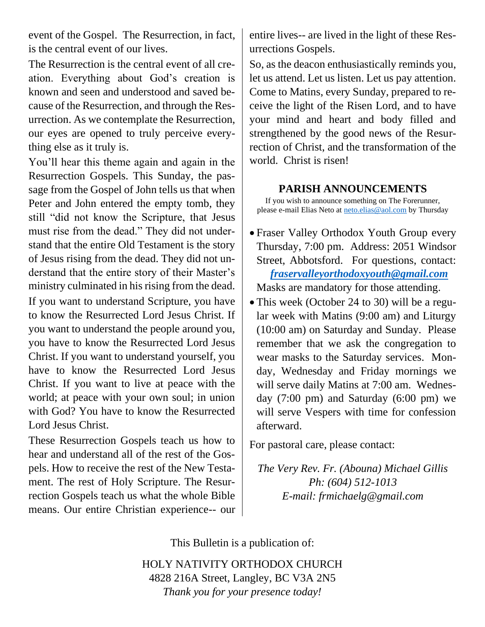event of the Gospel. The Resurrection, in fact, is the central event of our lives.

The Resurrection is the central event of all creation. Everything about God's creation is known and seen and understood and saved because of the Resurrection, and through the Resurrection. As we contemplate the Resurrection, our eyes are opened to truly perceive everything else as it truly is.

You'll hear this theme again and again in the Resurrection Gospels. This Sunday, the passage from the Gospel of John tells us that when Peter and John entered the empty tomb, they still "did not know the Scripture, that Jesus must rise from the dead." They did not understand that the entire Old Testament is the story of Jesus rising from the dead. They did not understand that the entire story of their Master's ministry culminated in his rising from the dead. If you want to understand Scripture, you have to know the Resurrected Lord Jesus Christ. If you want to understand the people around you, you have to know the Resurrected Lord Jesus Christ. If you want to understand yourself, you have to know the Resurrected Lord Jesus Christ. If you want to live at peace with the world; at peace with your own soul; in union with God? You have to know the Resurrected Lord Jesus Christ.

These Resurrection Gospels teach us how to hear and understand all of the rest of the Gospels. How to receive the rest of the New Testament. The rest of Holy Scripture. The Resurrection Gospels teach us what the whole Bible means. Our entire Christian experience-- our entire lives-- are lived in the light of these Resurrections Gospels.

So, as the deacon enthusiastically reminds you, let us attend. Let us listen. Let us pay attention. Come to Matins, every Sunday, prepared to receive the light of the Risen Lord, and to have your mind and heart and body filled and strengthened by the good news of the Resurrection of Christ, and the transformation of the world. Christ is risen!

#### **PARISH ANNOUNCEMENTS**

If you wish to announce something on The Forerunner, please e-mail Elias Neto at [neto.elias@aol.com](mailto:neto.elias@aol.com) by Thursday

- Fraser Valley Orthodox Youth Group every Thursday, 7:00 pm. Address: 2051 Windsor Street, Abbotsford. For questions, contact:  *[fraservalleyorthodoxyouth@gmail.com](mailto:fraservalleyorthodoxyouth@gmail.com)* Masks are mandatory for those attending.
- This week (October 24 to 30) will be a regular week with Matins (9:00 am) and Liturgy (10:00 am) on Saturday and Sunday. Please remember that we ask the congregation to wear masks to the Saturday services. Monday, Wednesday and Friday mornings we will serve daily Matins at 7:00 am. Wednesday (7:00 pm) and Saturday (6:00 pm) we will serve Vespers with time for confession afterward.

For pastoral care, please contact:

*The Very Rev. Fr. (Abouna) Michael Gillis Ph: (604) 512-1013 E-mail: frmichaelg@gmail.com*

This Bulletin is a publication of:

HOLY NATIVITY ORTHODOX CHURCH 4828 216A Street, Langley, BC V3A 2N5 *Thank you for your presence today!*